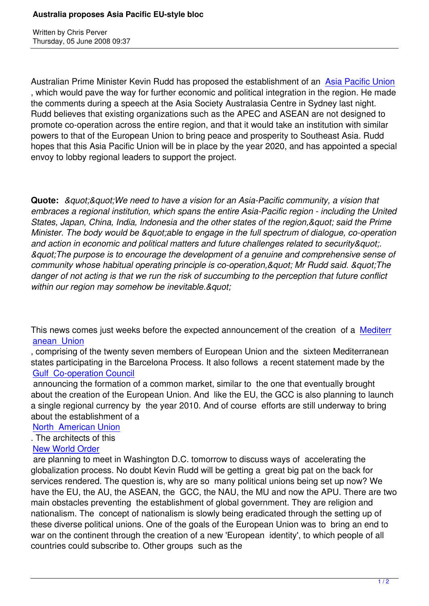Written by Christian by Christian by Christian by Christian by Christian by Christian by Christian by Christian

Australian Prime Minister Kevin Rudd has proposed the establishment of an Asia Pacific Union , which would pave the way for further economic and political integration in the region. He made the comments during a speech at the Asia Society Australasia Centre in Sydney last night. Rudd believes that existing organizations such as the APEC and ASEAN are [not designed to](http://www.theaustralian.news.com.au/story/0,25197,23812768-601,00.html) promote co-operation across the entire region, and that it would take an institution with similar powers to that of the European Union to bring peace and prosperity to Southeast Asia. Rudd hopes that this Asia Pacific Union will be in place by the year 2020, and has appointed a special envoy to lobby regional leaders to support the project.

**Quote:** *&guot:&guot:We need to have a vision for an Asia-Pacific community, a vision that embraces a regional institution, which spans the entire Asia-Pacific region - including the United States, Japan, China, India, Indonesia and the other states of the region, & quot; said the Prime Minister. The body would be "able to engage in the full spectrum of dialogue, co-operation* and action in economic and political matters and future challenges related to security & quot;. *"The purpose is to encourage the development of a genuine and comprehensive sense of community whose habitual operating principle is co-operation, & quot; Mr Rudd said. & quot; The danger of not acting is that we run the risk of succumbing to the perception that future conflict* within our region may somehow be inevitable.&quot:

This news comes just weeks before the expected announcement of the creation of a Mediterr anean Union

, comprising of the twenty seven members of European Union and the sixteen Mediterranean states participating in the Barcelona Process. It also follows a recent statement made [by the](https://www.prophecynews.co.uk/index.php?option=com_content&id=836/2/)  [Gulf Co-oper](https://www.prophecynews.co.uk/index.php?option=com_content&id=836/2/)ation Council

 announcing the formation of a common market, similar to the one that eventually brought about the creation of the European Union. And like the EU, the GCC is also planning to launch [a single regional currency b](https://www.prophecynews.co.uk/index.php?option=com_content&id=617/2/)y the year 2010. And of course efforts are still underway to bring about the establishment of a

## North American Union

. The architects of this

## New World Order

 [are planning to meet in](https://www.prophecynews.co.uk/index.php?option=com_content&id=620/2/) Washington D.C. tomorrow to discuss ways of accelerating the globalization process. No doubt Kevin Rudd will be getting a great big pat on the back for [services rendered](http://www.wnd.com/index.php?fa=PAGE.view&pageId=66198). The question is, why are so many political unions being set up now? We have the EU, the AU, the ASEAN, the GCC, the NAU, the MU and now the APU. There are two main obstacles preventing the establishment of global government. They are religion and nationalism. The concept of nationalism is slowly being eradicated through the setting up of these diverse political unions. One of the goals of the European Union was to bring an end to war on the continent through the creation of a new 'European identity', to which people of all countries could subscribe to. Other groups such as the